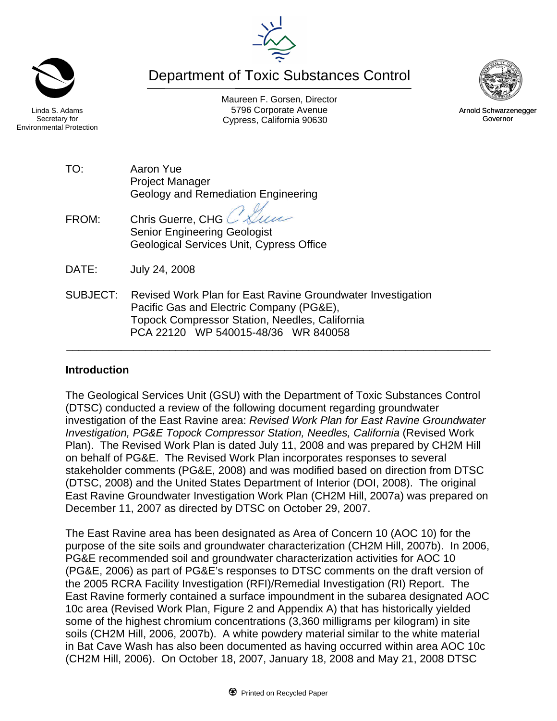Maureen F. Gorsen, Director Linda S. Adams **Example 20** Corporate Avenue Christian Avenue 5796 Corporate Avenue Cypress, California 90630 **Canadian Cypress**, California 90630

Department of Toxic Substances Control

Secretary for Environmental Protection

> TO: Aaron Yue Project Manager Geology and Remediation Engineering

FROM: Chris Guerre, CHG Senior Engineering Geologist Geological Services Unit, Cypress Office

DATE: July 24, 2008

SUBJECT: Revised Work Plan for East Ravine Groundwater Investigation Pacific Gas and Electric Company (PG&E), Topock Compressor Station, Needles, California PCA 22120 WP 540015-48/36 WR 840058

## **Introduction**

The Geological Services Unit (GSU) with the Department of Toxic Substances Control (DTSC) conducted a review of the following document regarding groundwater investigation of the East Ravine area: *Revised Work Plan for East Ravine Groundwater Investigation, PG&E Topock Compressor Station, Needles, California* (Revised Work Plan). The Revised Work Plan is dated July 11, 2008 and was prepared by CH2M Hill on behalf of PG&E. The Revised Work Plan incorporates responses to several stakeholder comments (PG&E, 2008) and was modified based on direction from DTSC (DTSC, 2008) and the United States Department of Interior (DOI, 2008). The original East Ravine Groundwater Investigation Work Plan (CH2M Hill, 2007a) was prepared on December 11, 2007 as directed by DTSC on October 29, 2007.

\_\_\_\_\_\_\_\_\_\_\_\_\_\_\_\_\_\_\_\_\_\_\_\_\_\_\_\_\_\_\_\_\_\_\_\_\_\_\_\_\_\_\_\_\_\_\_\_\_\_\_\_\_\_\_\_\_\_\_\_\_\_\_\_\_\_\_\_\_\_

The East Ravine area has been designated as Area of Concern 10 (AOC 10) for the purpose of the site soils and groundwater characterization (CH2M Hill, 2007b). In 2006, PG&E recommended soil and groundwater characterization activities for AOC 10 (PG&E, 2006) as part of PG&E's responses to DTSC comments on the draft version of the 2005 RCRA Facility Investigation (RFI)/Remedial Investigation (RI) Report. The East Ravine formerly contained a surface impoundment in the subarea designated AOC 10c area (Revised Work Plan, Figure 2 and Appendix A) that has historically yielded some of the highest chromium concentrations (3,360 milligrams per kilogram) in site soils (CH2M Hill, 2006, 2007b). A white powdery material similar to the white material in Bat Cave Wash has also been documented as having occurred within area AOC 10c (CH2M Hill, 2006). On October 18, 2007, January 18, 2008 and May 21, 2008 DTSC





Arnold Schwarzenegger Governor

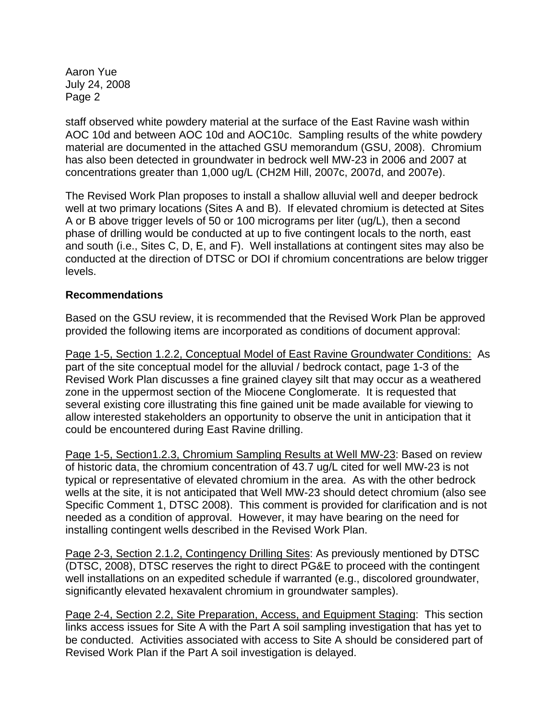Aaron Yue July 24, 2008 Page 2

staff observed white powdery material at the surface of the East Ravine wash within AOC 10d and between AOC 10d and AOC10c. Sampling results of the white powdery material are documented in the attached GSU memorandum (GSU, 2008). Chromium has also been detected in groundwater in bedrock well MW-23 in 2006 and 2007 at concentrations greater than 1,000 ug/L (CH2M Hill, 2007c, 2007d, and 2007e).

The Revised Work Plan proposes to install a shallow alluvial well and deeper bedrock well at two primary locations (Sites A and B). If elevated chromium is detected at Sites A or B above trigger levels of 50 or 100 micrograms per liter (ug/L), then a second phase of drilling would be conducted at up to five contingent locals to the north, east and south (i.e., Sites C, D, E, and F). Well installations at contingent sites may also be conducted at the direction of DTSC or DOI if chromium concentrations are below trigger levels.

## **Recommendations**

Based on the GSU review, it is recommended that the Revised Work Plan be approved provided the following items are incorporated as conditions of document approval:

Page 1-5, Section 1.2.2, Conceptual Model of East Ravine Groundwater Conditions: As part of the site conceptual model for the alluvial / bedrock contact, page 1-3 of the Revised Work Plan discusses a fine grained clayey silt that may occur as a weathered zone in the uppermost section of the Miocene Conglomerate. It is requested that several existing core illustrating this fine gained unit be made available for viewing to allow interested stakeholders an opportunity to observe the unit in anticipation that it could be encountered during East Ravine drilling.

Page 1-5, Section1.2.3, Chromium Sampling Results at Well MW-23: Based on review of historic data, the chromium concentration of 43.7 ug/L cited for well MW-23 is not typical or representative of elevated chromium in the area. As with the other bedrock wells at the site, it is not anticipated that Well MW-23 should detect chromium (also see Specific Comment 1, DTSC 2008). This comment is provided for clarification and is not needed as a condition of approval. However, it may have bearing on the need for installing contingent wells described in the Revised Work Plan.

Page 2-3, Section 2.1.2, Contingency Drilling Sites: As previously mentioned by DTSC (DTSC, 2008), DTSC reserves the right to direct PG&E to proceed with the contingent well installations on an expedited schedule if warranted (e.g., discolored groundwater, significantly elevated hexavalent chromium in groundwater samples).

Page 2-4, Section 2.2, Site Preparation, Access, and Equipment Staging: This section links access issues for Site A with the Part A soil sampling investigation that has yet to be conducted. Activities associated with access to Site A should be considered part of Revised Work Plan if the Part A soil investigation is delayed.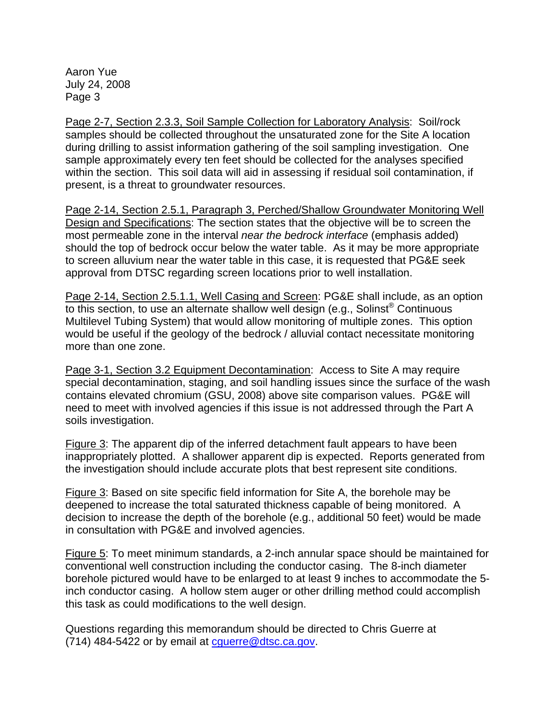Aaron Yue July 24, 2008 Page 3

Page 2-7, Section 2.3.3, Soil Sample Collection for Laboratory Analysis: Soil/rock samples should be collected throughout the unsaturated zone for the Site A location during drilling to assist information gathering of the soil sampling investigation. One sample approximately every ten feet should be collected for the analyses specified within the section. This soil data will aid in assessing if residual soil contamination, if present, is a threat to groundwater resources.

Page 2-14, Section 2.5.1, Paragraph 3, Perched/Shallow Groundwater Monitoring Well Design and Specifications: The section states that the objective will be to screen the most permeable zone in the interval *near the bedrock interface* (emphasis added) should the top of bedrock occur below the water table. As it may be more appropriate to screen alluvium near the water table in this case, it is requested that PG&E seek approval from DTSC regarding screen locations prior to well installation.

Page 2-14, Section 2.5.1.1, Well Casing and Screen: PG&E shall include, as an option to this section, to use an alternate shallow well design (e.g., Solinst<sup>®</sup> Continuous Multilevel Tubing System) that would allow monitoring of multiple zones. This option would be useful if the geology of the bedrock / alluvial contact necessitate monitoring more than one zone.

Page 3-1, Section 3.2 Equipment Decontamination: Access to Site A may require special decontamination, staging, and soil handling issues since the surface of the wash contains elevated chromium (GSU, 2008) above site comparison values. PG&E will need to meet with involved agencies if this issue is not addressed through the Part A soils investigation.

Figure 3: The apparent dip of the inferred detachment fault appears to have been inappropriately plotted. A shallower apparent dip is expected. Reports generated from the investigation should include accurate plots that best represent site conditions.

Figure 3: Based on site specific field information for Site A, the borehole may be deepened to increase the total saturated thickness capable of being monitored. A decision to increase the depth of the borehole (e.g., additional 50 feet) would be made in consultation with PG&E and involved agencies.

Figure 5: To meet minimum standards, a 2-inch annular space should be maintained for conventional well construction including the conductor casing. The 8-inch diameter borehole pictured would have to be enlarged to at least 9 inches to accommodate the 5 inch conductor casing. A hollow stem auger or other drilling method could accomplish this task as could modifications to the well design.

Questions regarding this memorandum should be directed to Chris Guerre at (714) 484-5422 or by email at [cguerre@dtsc.ca.gov](mailto:cguerre@dtsc.ca.gov).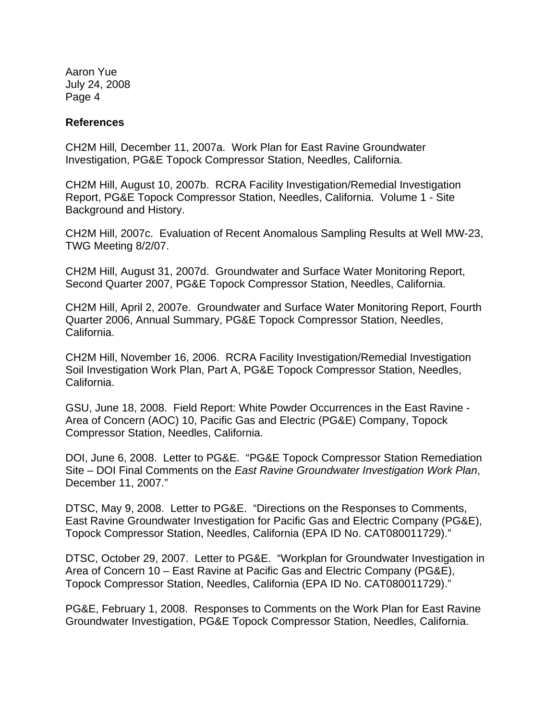Aaron Yue July 24, 2008 Page 4

## **References**

CH2M Hill*,* December 11, 2007a.Work Plan for East Ravine Groundwater Investigation, PG&E Topock Compressor Station, Needles, California.

CH2M Hill, August 10, 2007b. RCRA Facility Investigation/Remedial Investigation Report, PG&E Topock Compressor Station, Needles, California. Volume 1 - Site Background and History.

CH2M Hill, 2007c. Evaluation of Recent Anomalous Sampling Results at Well MW-23, TWG Meeting 8/2/07.

CH2M Hill, August 31, 2007d. Groundwater and Surface Water Monitoring Report, Second Quarter 2007, PG&E Topock Compressor Station, Needles, California.

CH2M Hill, April 2, 2007e. Groundwater and Surface Water Monitoring Report, Fourth Quarter 2006, Annual Summary, PG&E Topock Compressor Station, Needles, California.

CH2M Hill, November 16, 2006. RCRA Facility Investigation/Remedial Investigation Soil Investigation Work Plan, Part A, PG&E Topock Compressor Station, Needles, California.

GSU, June 18, 2008. Field Report: White Powder Occurrences in the East Ravine - Area of Concern (AOC) 10, Pacific Gas and Electric (PG&E) Company, Topock Compressor Station, Needles, California.

DOI, June 6, 2008. Letter to PG&E. "PG&E Topock Compressor Station Remediation Site – DOI Final Comments on the *East Ravine Groundwater Investigation Work Plan*, December 11, 2007."

DTSC, May 9, 2008. Letter to PG&E. "Directions on the Responses to Comments, East Ravine Groundwater Investigation for Pacific Gas and Electric Company (PG&E), Topock Compressor Station, Needles, California (EPA ID No. CAT080011729)."

DTSC, October 29, 2007. Letter to PG&E. "Workplan for Groundwater Investigation in Area of Concern 10 – East Ravine at Pacific Gas and Electric Company (PG&E), Topock Compressor Station, Needles, California (EPA ID No. CAT080011729)."

PG&E, February 1, 2008. Responses to Comments on the Work Plan for East Ravine Groundwater Investigation, PG&E Topock Compressor Station, Needles, California.